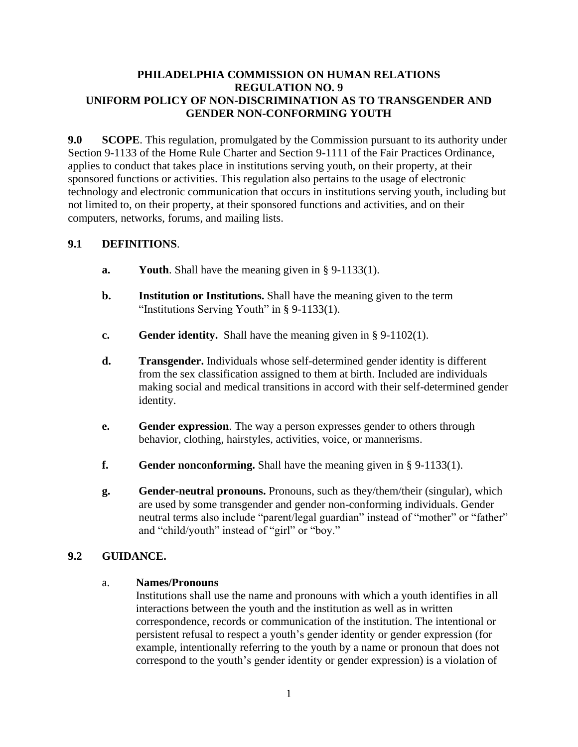### **PHILADELPHIA COMMISSION ON HUMAN RELATIONS REGULATION NO. 9 UNIFORM POLICY OF NON-DISCRIMINATION AS TO TRANSGENDER AND GENDER NON-CONFORMING YOUTH**

**9.0 SCOPE**. This regulation, promulgated by the Commission pursuant to its authority under Section 9-1133 of the Home Rule Charter and Section 9-1111 of the Fair Practices Ordinance, applies to conduct that takes place in institutions serving youth, on their property, at their sponsored functions or activities. This regulation also pertains to the usage of electronic technology and electronic communication that occurs in institutions serving youth, including but not limited to, on their property, at their sponsored functions and activities, and on their computers, networks, forums, and mailing lists.

# **9.1 DEFINITIONS**.

- **a. Youth**. Shall have the meaning given in § 9-1133(1).
- **b. Institution or Institutions.** Shall have the meaning given to the term "Institutions Serving Youth" in § 9-1133(1).
- **c. Gender identity.** Shall have the meaning given in § 9-1102(1).
- **d. Transgender.** Individuals whose self-determined gender identity is different from the sex classification assigned to them at birth. Included are individuals making social and medical transitions in accord with their self-determined gender identity.
- **e. Gender expression**. The way a person expresses gender to others through behavior, clothing, hairstyles, activities, voice, or mannerisms.
- **f. Gender nonconforming.** Shall have the meaning given in § 9-1133(1).
- **g. Gender-neutral pronouns.** Pronouns, such as they/them/their (singular), which are used by some transgender and gender non-conforming individuals. Gender neutral terms also include "parent/legal guardian" instead of "mother" or "father" and "child/youth" instead of "girl" or "boy."

# **9.2 GUIDANCE.**

#### a. **Names/Pronouns**

Institutions shall use the name and pronouns with which a youth identifies in all interactions between the youth and the institution as well as in written correspondence, records or communication of the institution. The intentional or persistent refusal to respect a youth's gender identity or gender expression (for example, intentionally referring to the youth by a name or pronoun that does not correspond to the youth's gender identity or gender expression) is a violation of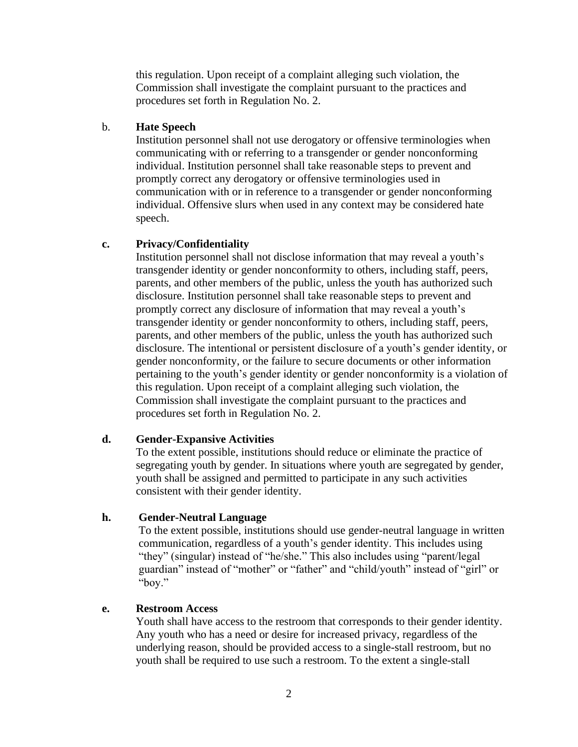this regulation. Upon receipt of a complaint alleging such violation, the Commission shall investigate the complaint pursuant to the practices and procedures set forth in Regulation No. 2.

#### b. **Hate Speech**

Institution personnel shall not use derogatory or offensive terminologies when communicating with or referring to a transgender or gender nonconforming individual. Institution personnel shall take reasonable steps to prevent and promptly correct any derogatory or offensive terminologies used in communication with or in reference to a transgender or gender nonconforming individual. Offensive slurs when used in any context may be considered hate speech.

### **c. Privacy/Confidentiality**

Institution personnel shall not disclose information that may reveal a youth's transgender identity or gender nonconformity to others, including staff, peers, parents, and other members of the public, unless the youth has authorized such disclosure. Institution personnel shall take reasonable steps to prevent and promptly correct any disclosure of information that may reveal a youth's transgender identity or gender nonconformity to others, including staff, peers, parents, and other members of the public, unless the youth has authorized such disclosure. The intentional or persistent disclosure of a youth's gender identity, or gender nonconformity, or the failure to secure documents or other information pertaining to the youth's gender identity or gender nonconformity is a violation of this regulation. Upon receipt of a complaint alleging such violation, the Commission shall investigate the complaint pursuant to the practices and procedures set forth in Regulation No. 2.

#### **d. Gender-Expansive Activities**

To the extent possible, institutions should reduce or eliminate the practice of segregating youth by gender. In situations where youth are segregated by gender, youth shall be assigned and permitted to participate in any such activities consistent with their gender identity.

#### **h. Gender-Neutral Language**

To the extent possible, institutions should use gender-neutral language in written communication, regardless of a youth's gender identity. This includes using "they" (singular) instead of "he/she." This also includes using "parent/legal guardian" instead of "mother" or "father" and "child/youth" instead of "girl" or "boy."

#### **e. Restroom Access**

Youth shall have access to the restroom that corresponds to their gender identity. Any youth who has a need or desire for increased privacy, regardless of the underlying reason, should be provided access to a single-stall restroom, but no youth shall be required to use such a restroom. To the extent a single-stall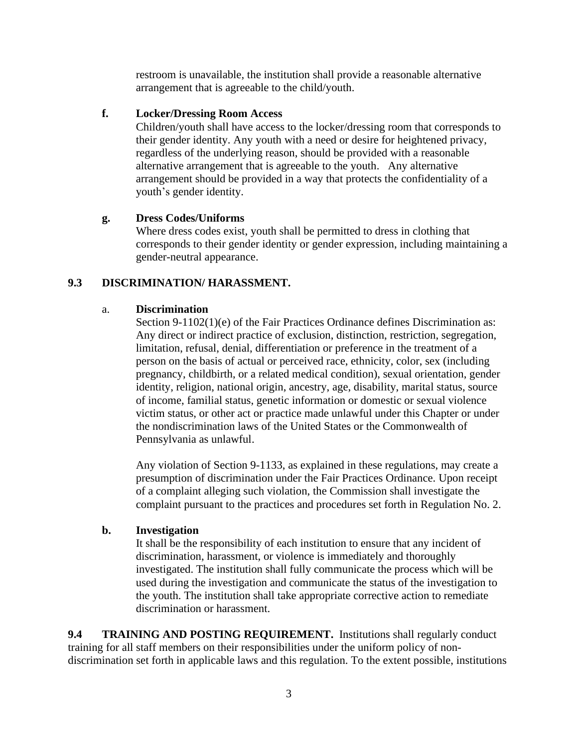restroom is unavailable, the institution shall provide a reasonable alternative arrangement that is agreeable to the child/youth.

### **f. Locker/Dressing Room Access**

Children/youth shall have access to the locker/dressing room that corresponds to their gender identity. Any youth with a need or desire for heightened privacy, regardless of the underlying reason, should be provided with a reasonable alternative arrangement that is agreeable to the youth. Any alternative arrangement should be provided in a way that protects the confidentiality of a youth's gender identity.

### **g. Dress Codes/Uniforms**

Where dress codes exist, youth shall be permitted to dress in clothing that corresponds to their gender identity or gender expression, including maintaining a gender-neutral appearance.

# **9.3 DISCRIMINATION/ HARASSMENT.**

#### a. **Discrimination**

Section 9-1102(1)(e) of the Fair Practices Ordinance defines Discrimination as: Any direct or indirect practice of exclusion, distinction, restriction, segregation, limitation, refusal, denial, differentiation or preference in the treatment of a person on the basis of actual or perceived race, ethnicity, color, sex (including pregnancy, childbirth, or a related medical condition), sexual orientation, gender identity, religion, national origin, ancestry, age, disability, marital status, source of income, familial status, genetic information or domestic or sexual violence victim status, or other act or practice made unlawful under this Chapter or under the nondiscrimination laws of the United States or the Commonwealth of Pennsylvania as unlawful.

Any violation of Section 9-1133, as explained in these regulations, may create a presumption of discrimination under the Fair Practices Ordinance. Upon receipt of a complaint alleging such violation, the Commission shall investigate the complaint pursuant to the practices and procedures set forth in Regulation No. 2.

#### **b. Investigation**

It shall be the responsibility of each institution to ensure that any incident of discrimination, harassment, or violence is immediately and thoroughly investigated. The institution shall fully communicate the process which will be used during the investigation and communicate the status of the investigation to the youth. The institution shall take appropriate corrective action to remediate discrimination or harassment.

**9.4 TRAINING AND POSTING REQUIREMENT.** Institutions shall regularly conduct training for all staff members on their responsibilities under the uniform policy of nondiscrimination set forth in applicable laws and this regulation. To the extent possible, institutions